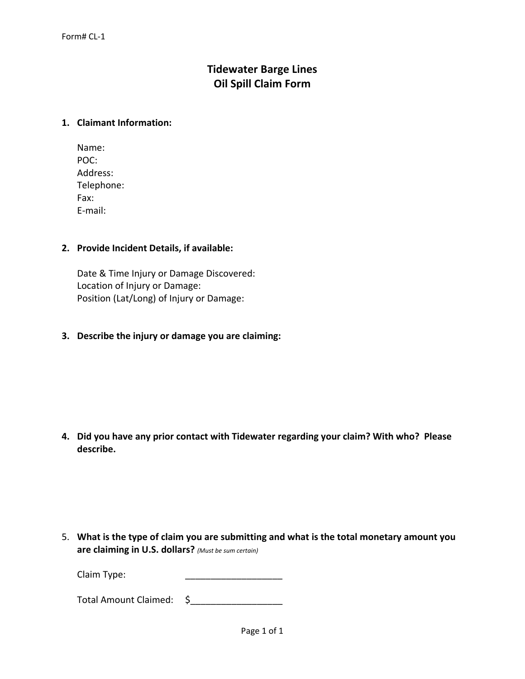# **Tidewater Barge Lines Oil Spill Claim Form**

## **1. Claimant Information:**

| Name:      |
|------------|
| POC:       |
| Address:   |
| Telephone: |
| Fax:       |
| E-mail:    |

#### **2. Provide Incident Details, if available:**

Date & Time Injury or Damage Discovered: Location of Injury or Damage: Position (Lat/Long) of Injury or Damage:

**3. Describe the injury or damage you are claiming:**

**4. Did you have any prior contact with Tidewater regarding your claim? With who? Please describe.**

5. **What is the type of claim you are submitting and what is the total monetary amount you are claiming in U.S. dollars?** *(Must be sum certain)*

Claim Type:

Total Amount Claimed: \$\_\_\_\_\_\_\_\_\_\_\_\_\_\_\_\_\_\_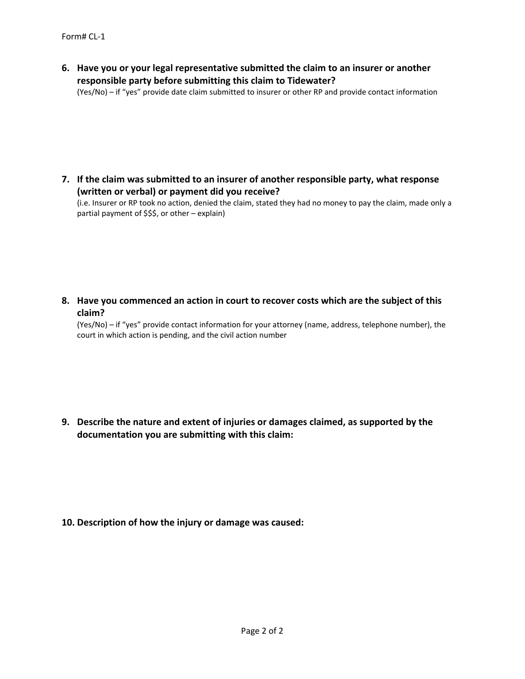**6. Have you or your legal representative submitted the claim to an insurer or another responsible party before submitting this claim to Tidewater?**

(Yes/No) – if "yes" provide date claim submitted to insurer or other RP and provide contact information

**7. If the claim was submitted to an insurer of another responsible party, what response (written or verbal) or payment did you receive?**

(i.e. Insurer or RP took no action, denied the claim, stated they had no money to pay the claim, made only a partial payment of \$\$\$, or other – explain)

**8. Have you commenced an action in court to recover costs which are the subject of this claim?**

(Yes/No) – if "yes" provide contact information for your attorney (name, address, telephone number), the court in which action is pending, and the civil action number

**9. Describe the nature and extent of injuries or damages claimed, as supported by the documentation you are submitting with this claim:**

**10. Description of how the injury or damage was caused:**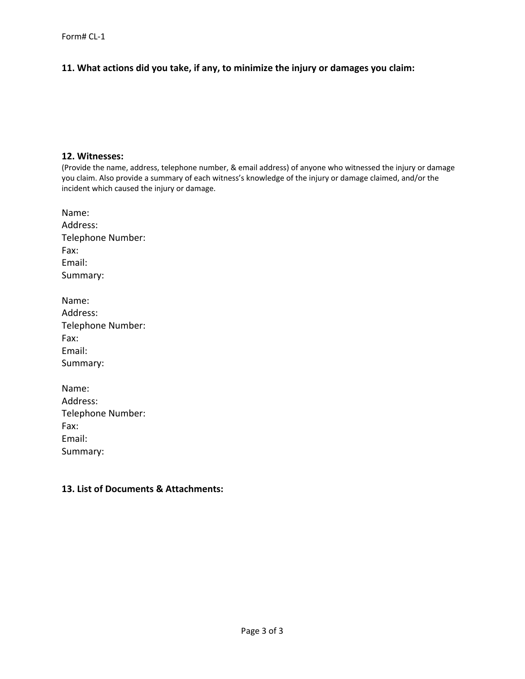# **11. What actions did you take, if any, to minimize the injury or damages you claim:**

#### **12. Witnesses:**

(Provide the name, address, telephone number, & email address) of anyone who witnessed the injury or damage you claim. Also provide a summary of each witness's knowledge of the injury or damage claimed, and/or the incident which caused the injury or damage.

| Name:             |
|-------------------|
| Address:          |
| Telephone Number: |
| Fax:              |
| Email:            |
| Summary:          |
|                   |

| Name:             |
|-------------------|
| Address:          |
| Telephone Number: |
| Fax:              |
| Email:            |
| Summary:          |

| Name:             |
|-------------------|
| Address:          |
| Telephone Number: |
| Fax:              |
| Email:            |
| Summary:          |

#### **13. List of Documents & Attachments:**